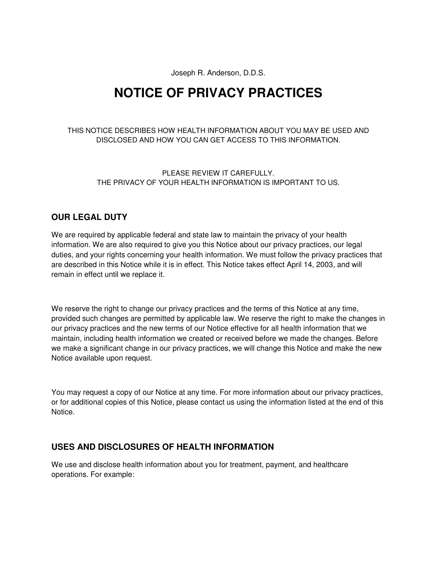Joseph R. Anderson, D.D.S.

# **NOTICE OF PRIVACY PRACTICES**

THIS NOTICE DESCRIBES HOW HEALTH INFORMATION ABOUT YOU MAY BE USED AND DISCLOSED AND HOW YOU CAN GET ACCESS TO THIS INFORMATION.

PLEASE REVIEW IT CAREFULLY. THE PRIVACY OF YOUR HEALTH INFORMATION IS IMPORTANT TO US.

### **OUR LEGAL DUTY**

We are required by applicable federal and state law to maintain the privacy of your health information. We are also required to give you this Notice about our privacy practices, our legal duties, and your rights concerning your health information. We must follow the privacy practices that are described in this Notice while it is in effect. This Notice takes effect April 14, 2003, and will remain in effect until we replace it.

We reserve the right to change our privacy practices and the terms of this Notice at any time, provided such changes are permitted by applicable law. We reserve the right to make the changes in our privacy practices and the new terms of our Notice effective for all health information that we maintain, including health information we created or received before we made the changes. Before we make a significant change in our privacy practices, we will change this Notice and make the new Notice available upon request.

You may request a copy of our Notice at any time. For more information about our privacy practices, or for additional copies of this Notice, please contact us using the information listed at the end of this Notice.

## **USES AND DISCLOSURES OF HEALTH INFORMATION**

We use and disclose health information about you for treatment, payment, and healthcare operations. For example: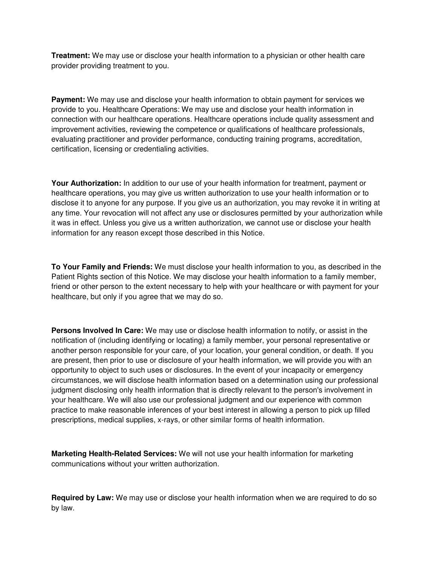**Treatment:** We may use or disclose your health information to a physician or other health care provider providing treatment to you.

**Payment:** We may use and disclose your health information to obtain payment for services we provide to you. Healthcare Operations: We may use and disclose your health information in connection with our healthcare operations. Healthcare operations include quality assessment and improvement activities, reviewing the competence or qualifications of healthcare professionals, evaluating practitioner and provider performance, conducting training programs, accreditation, certification, licensing or credentialing activities.

**Your Authorization:** In addition to our use of your health information for treatment, payment or healthcare operations, you may give us written authorization to use your health information or to disclose it to anyone for any purpose. If you give us an authorization, you may revoke it in writing at any time. Your revocation will not affect any use or disclosures permitted by your authorization while it was in effect. Unless you give us a written authorization, we cannot use or disclose your health information for any reason except those described in this Notice.

**To Your Family and Friends:** We must disclose your health information to you, as described in the Patient Rights section of this Notice. We may disclose your health information to a family member, friend or other person to the extent necessary to help with your healthcare or with payment for your healthcare, but only if you agree that we may do so.

**Persons Involved In Care:** We may use or disclose health information to notify, or assist in the notification of (including identifying or locating) a family member, your personal representative or another person responsible for your care, of your location, your general condition, or death. If you are present, then prior to use or disclosure of your health information, we will provide you with an opportunity to object to such uses or disclosures. In the event of your incapacity or emergency circumstances, we will disclose health information based on a determination using our professional judgment disclosing only health information that is directly relevant to the person's involvement in your healthcare. We will also use our professional judgment and our experience with common practice to make reasonable inferences of your best interest in allowing a person to pick up filled prescriptions, medical supplies, x-rays, or other similar forms of health information.

**Marketing Health-Related Services:** We will not use your health information for marketing communications without your written authorization.

**Required by Law:** We may use or disclose your health information when we are required to do so by law.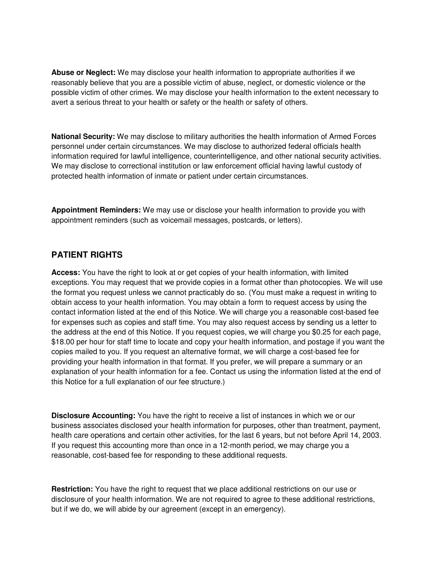**Abuse or Neglect:** We may disclose your health information to appropriate authorities if we reasonably believe that you are a possible victim of abuse, neglect, or domestic violence or the possible victim of other crimes. We may disclose your health information to the extent necessary to avert a serious threat to your health or safety or the health or safety of others.

**National Security:** We may disclose to military authorities the health information of Armed Forces personnel under certain circumstances. We may disclose to authorized federal officials health information required for lawful intelligence, counterintelligence, and other national security activities. We may disclose to correctional institution or law enforcement official having lawful custody of protected health information of inmate or patient under certain circumstances.

**Appointment Reminders:** We may use or disclose your health information to provide you with appointment reminders (such as voicemail messages, postcards, or letters).

### **PATIENT RIGHTS**

**Access:** You have the right to look at or get copies of your health information, with limited exceptions. You may request that we provide copies in a format other than photocopies. We will use the format you request unless we cannot practicably do so. (You must make a request in writing to obtain access to your health information. You may obtain a form to request access by using the contact information listed at the end of this Notice. We will charge you a reasonable cost-based fee for expenses such as copies and staff time. You may also request access by sending us a letter to the address at the end of this Notice. If you request copies, we will charge you \$0.25 for each page, \$18.00 per hour for staff time to locate and copy your health information, and postage if you want the copies mailed to you. If you request an alternative format, we will charge a cost-based fee for providing your health information in that format. If you prefer, we will prepare a summary or an explanation of your health information for a fee. Contact us using the information listed at the end of this Notice for a full explanation of our fee structure.)

**Disclosure Accounting:** You have the right to receive a list of instances in which we or our business associates disclosed your health information for purposes, other than treatment, payment, health care operations and certain other activities, for the last 6 years, but not before April 14, 2003. If you request this accounting more than once in a 12-month period, we may charge you a reasonable, cost-based fee for responding to these additional requests.

**Restriction:** You have the right to request that we place additional restrictions on our use or disclosure of your health information. We are not required to agree to these additional restrictions, but if we do, we will abide by our agreement (except in an emergency).